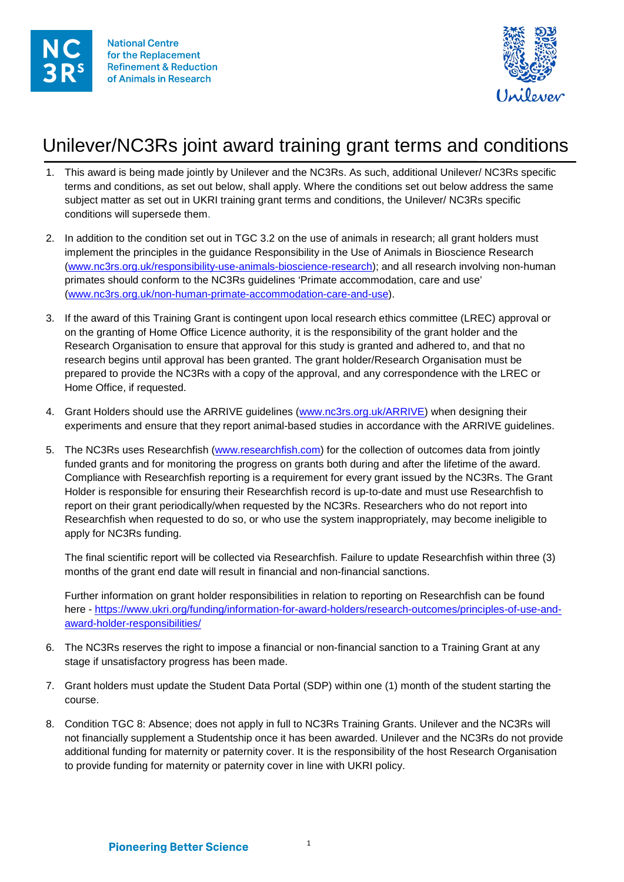



## Unilever/NC3Rs joint award training grant terms and conditions

- 1. This award is being made jointly by Unilever and the NC3Rs. As such, additional Unilever/ NC3Rs specific terms and conditions, as set out below, shall apply. Where the conditions set out below address the same subject matter as set out in UKRI training grant terms and conditions, the Unilever/ NC3Rs specific conditions will supersede them.
- 2. In addition to the condition set out in TGC 3.2 on the use of animals in research; all grant holders must implement the principles in the guidance Responsibility in the Use of Animals in Bioscience Research [\(www.nc3rs.org.uk/responsibility-use-animals-bioscience-research\)](https://www.nc3rs.org.uk/responsibility-use-animals-bioscience-research); and all research involving non-human primates should conform to the NC3Rs guidelines 'Primate accommodation, care and use' [\(www.nc3rs.org.uk/non-human-primate-accommodation-care-and-use\)](https://www.nc3rs.org.uk/non-human-primate-accommodation-care-and-use).
- 3. If the award of this Training Grant is contingent upon local research ethics committee (LREC) approval or on the granting of Home Office Licence authority, it is the responsibility of the grant holder and the Research Organisation to ensure that approval for this study is granted and adhered to, and that no research begins until approval has been granted. The grant holder/Research Organisation must be prepared to provide the NC3Rs with a copy of the approval, and any correspondence with the LREC or Home Office, if requested.
- 4. Grant Holders should use the ARRIVE guidelines [\(www.nc3rs.org.uk/ARRIVE\)](http://www.nc3rs.org.uk/ARRIVE) when designing their experiments and ensure that they report animal-based studies in accordance with the ARRIVE guidelines.
- 5. The NC3Rs uses Researchfish [\(www.researchfish.com\)](http://www.researchfish.com/) for the collection of outcomes data from jointly funded grants and for monitoring the progress on grants both during and after the lifetime of the award. Compliance with Researchfish reporting is a requirement for every grant issued by the NC3Rs. The Grant Holder is responsible for ensuring their Researchfish record is up-to-date and must use Researchfish to report on their grant periodically/when requested by the NC3Rs. Researchers who do not report into Researchfish when requested to do so, or who use the system inappropriately, may become ineligible to apply for NC3Rs funding.

The final scientific report will be collected via Researchfish. Failure to update Researchfish within three (3) months of the grant end date will result in financial and non-financial sanctions.

Further information on grant holder responsibilities in relation to reporting on Researchfish can be found here - [https://www.ukri.org/funding/information-for-award-holders/research-outcomes/principles-of-use-and](https://www.ukri.org/funding/information-for-award-holders/research-outcomes/principles-of-use-and-award-holder-responsibilities/)[award-holder-responsibilities/](https://www.ukri.org/funding/information-for-award-holders/research-outcomes/principles-of-use-and-award-holder-responsibilities/)

- 6. The NC3Rs reserves the right to impose a financial or non-financial sanction to a Training Grant at any stage if unsatisfactory progress has been made.
- 7. Grant holders must update the Student Data Portal (SDP) within one (1) month of the student starting the course.
- 8. Condition TGC 8: Absence; does not apply in full to NC3Rs Training Grants. Unilever and the NC3Rs will not financially supplement a Studentship once it has been awarded. Unilever and the NC3Rs do not provide additional funding for maternity or paternity cover. It is the responsibility of the host Research Organisation to provide funding for maternity or paternity cover in line with UKRI policy.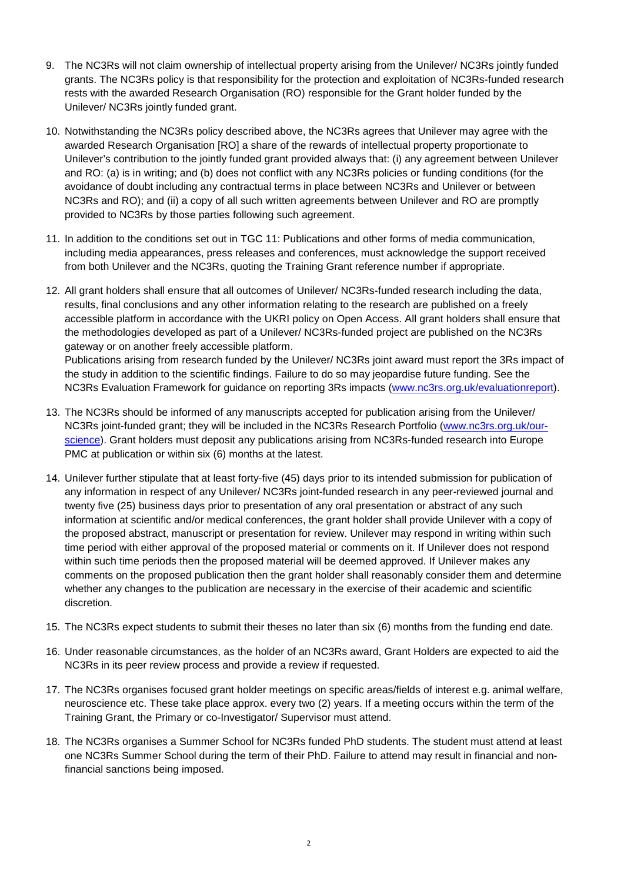- 9. The NC3Rs will not claim ownership of intellectual property arising from the Unilever/ NC3Rs jointly funded grants. The NC3Rs policy is that responsibility for the protection and exploitation of NC3Rs-funded research rests with the awarded Research Organisation (RO) responsible for the Grant holder funded by the Unilever/ NC3Rs jointly funded grant.
- 10. Notwithstanding the NC3Rs policy described above, the NC3Rs agrees that Unilever may agree with the awarded Research Organisation [RO] a share of the rewards of intellectual property proportionate to Unilever's contribution to the jointly funded grant provided always that: (i) any agreement between Unilever and RO: (a) is in writing; and (b) does not conflict with any NC3Rs policies or funding conditions (for the avoidance of doubt including any contractual terms in place between NC3Rs and Unilever or between NC3Rs and RO); and (ii) a copy of all such written agreements between Unilever and RO are promptly provided to NC3Rs by those parties following such agreement.
- 11. In addition to the conditions set out in TGC 11: Publications and other forms of media communication, including media appearances, press releases and conferences, must acknowledge the support received from both Unilever and the NC3Rs, quoting the Training Grant reference number if appropriate.
- 12. All grant holders shall ensure that all outcomes of Unilever/ NC3Rs-funded research including the data, results, final conclusions and any other information relating to the research are published on a freely accessible platform in accordance with the UKRI policy on Open Access. All grant holders shall ensure that the methodologies developed as part of a Unilever/ NC3Rs-funded project are published on the NC3Rs gateway or on another freely accessible platform.

Publications arising from research funded by the Unilever/ NC3Rs joint award must report the 3Rs impact of the study in addition to the scientific findings. Failure to do so may jeopardise future funding. See the NC3Rs Evaluation Framework for guidance on reporting 3Rs impacts [\(www.nc3rs.org.uk/evaluationreport\)](http://www.nc3rs.org.uk/evaluationreport).

- 13. The NC3Rs should be informed of any manuscripts accepted for publication arising from the Unilever/ NC3Rs joint-funded grant; they will be included in the NC3Rs Research Portfolio [\(www.nc3rs.org.uk/our](http://www.nc3rs.org.uk/our-science)[science\)](http://www.nc3rs.org.uk/our-science). Grant holders must deposit any publications arising from NC3Rs-funded research into Europe PMC at publication or within six (6) months at the latest.
- 14. Unilever further stipulate that at least forty-five (45) days prior to its intended submission for publication of any information in respect of any Unilever/ NC3Rs joint-funded research in any peer-reviewed journal and twenty five (25) business days prior to presentation of any oral presentation or abstract of any such information at scientific and/or medical conferences, the grant holder shall provide Unilever with a copy of the proposed abstract, manuscript or presentation for review. Unilever may respond in writing within such time period with either approval of the proposed material or comments on it. If Unilever does not respond within such time periods then the proposed material will be deemed approved. If Unilever makes any comments on the proposed publication then the grant holder shall reasonably consider them and determine whether any changes to the publication are necessary in the exercise of their academic and scientific discretion.
- 15. The NC3Rs expect students to submit their theses no later than six (6) months from the funding end date.
- 16. Under reasonable circumstances, as the holder of an NC3Rs award, Grant Holders are expected to aid the NC3Rs in its peer review process and provide a review if requested.
- 17. The NC3Rs organises focused grant holder meetings on specific areas/fields of interest e.g. animal welfare, neuroscience etc. These take place approx. every two (2) years. If a meeting occurs within the term of the Training Grant, the Primary or co-Investigator/ Supervisor must attend.
- 18. The NC3Rs organises a Summer School for NC3Rs funded PhD students. The student must attend at least one NC3Rs Summer School during the term of their PhD. Failure to attend may result in financial and nonfinancial sanctions being imposed.